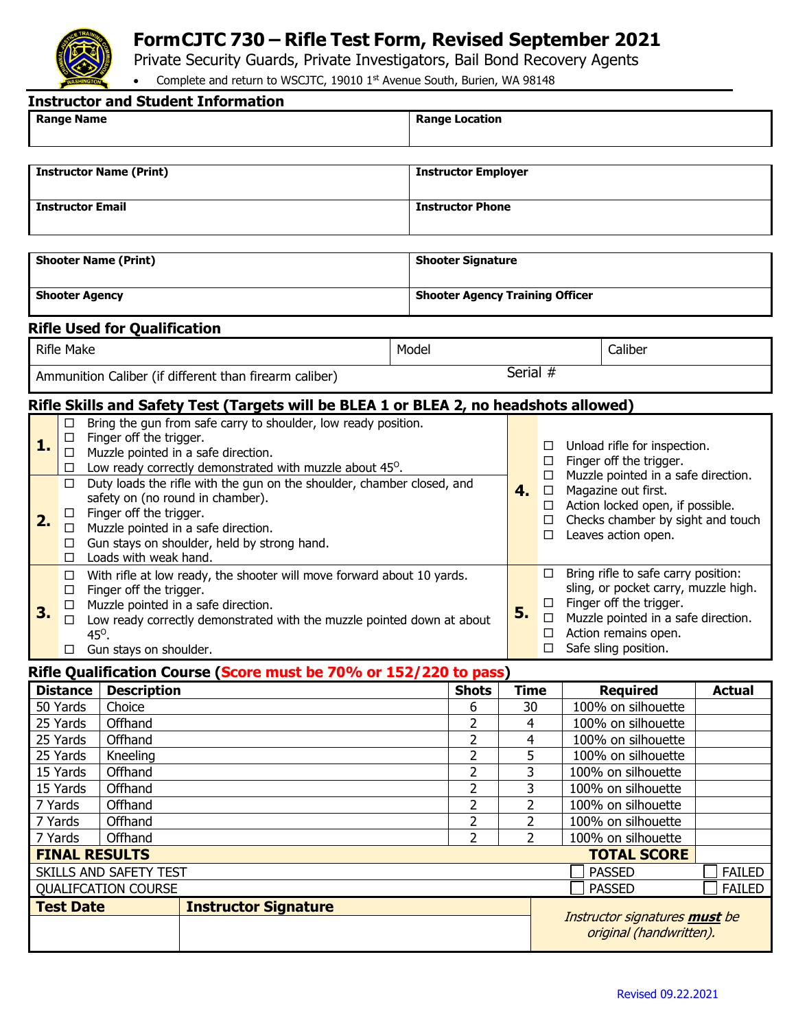

## **FormCJTC 730 – Rifle Test Form, Revised September 2021**

Private Security Guards, Private Investigators, Bail Bond Recovery Agents

• Complete and return to WSCJTC, 19010 1st Avenue South, Burien, WA 98148

| <b>Instructor and Student Information</b>                                             |                                                                                                                                                                                                      |                                                                                                                                                                                                                                                                                    |                             |                                                                              |                                        |                                                                                                   |                                                                                                                                                                                                      |                                                          |                                          |               |  |
|---------------------------------------------------------------------------------------|------------------------------------------------------------------------------------------------------------------------------------------------------------------------------------------------------|------------------------------------------------------------------------------------------------------------------------------------------------------------------------------------------------------------------------------------------------------------------------------------|-----------------------------|------------------------------------------------------------------------------|----------------------------------------|---------------------------------------------------------------------------------------------------|------------------------------------------------------------------------------------------------------------------------------------------------------------------------------------------------------|----------------------------------------------------------|------------------------------------------|---------------|--|
|                                                                                       | <b>Range Name</b>                                                                                                                                                                                    |                                                                                                                                                                                                                                                                                    |                             | <b>Range Location</b>                                                        |                                        |                                                                                                   |                                                                                                                                                                                                      |                                                          |                                          |               |  |
|                                                                                       |                                                                                                                                                                                                      |                                                                                                                                                                                                                                                                                    |                             |                                                                              |                                        |                                                                                                   |                                                                                                                                                                                                      |                                                          |                                          |               |  |
| <b>Instructor Name (Print)</b>                                                        |                                                                                                                                                                                                      |                                                                                                                                                                                                                                                                                    |                             |                                                                              | <b>Instructor Employer</b>             |                                                                                                   |                                                                                                                                                                                                      |                                                          |                                          |               |  |
| <b>Instructor Email</b>                                                               |                                                                                                                                                                                                      |                                                                                                                                                                                                                                                                                    |                             |                                                                              | <b>Instructor Phone</b>                |                                                                                                   |                                                                                                                                                                                                      |                                                          |                                          |               |  |
|                                                                                       |                                                                                                                                                                                                      |                                                                                                                                                                                                                                                                                    |                             |                                                                              |                                        |                                                                                                   |                                                                                                                                                                                                      |                                                          |                                          |               |  |
| <b>Shooter Name (Print)</b>                                                           |                                                                                                                                                                                                      |                                                                                                                                                                                                                                                                                    |                             |                                                                              | <b>Shooter Signature</b>               |                                                                                                   |                                                                                                                                                                                                      |                                                          |                                          |               |  |
| <b>Shooter Agency</b>                                                                 |                                                                                                                                                                                                      |                                                                                                                                                                                                                                                                                    |                             |                                                                              | <b>Shooter Agency Training Officer</b> |                                                                                                   |                                                                                                                                                                                                      |                                                          |                                          |               |  |
| <b>Rifle Used for Qualification</b>                                                   |                                                                                                                                                                                                      |                                                                                                                                                                                                                                                                                    |                             |                                                                              |                                        |                                                                                                   |                                                                                                                                                                                                      |                                                          |                                          |               |  |
|                                                                                       | <b>Rifle Make</b>                                                                                                                                                                                    |                                                                                                                                                                                                                                                                                    | Model                       |                                                                              |                                        |                                                                                                   |                                                                                                                                                                                                      | Caliber                                                  |                                          |               |  |
| Ammunition Caliber (if different than firearm caliber)                                |                                                                                                                                                                                                      |                                                                                                                                                                                                                                                                                    |                             |                                                                              | Serial #                               |                                                                                                   |                                                                                                                                                                                                      |                                                          |                                          |               |  |
| Rifle Skills and Safety Test (Targets will be BLEA 1 or BLEA 2, no headshots allowed) |                                                                                                                                                                                                      |                                                                                                                                                                                                                                                                                    |                             |                                                                              |                                        |                                                                                                   |                                                                                                                                                                                                      |                                                          |                                          |               |  |
| 1.                                                                                    | □<br>□<br>$\Box$<br>□<br>□                                                                                                                                                                           | Bring the gun from safe carry to shoulder, low ready position.<br>Finger off the trigger.<br>Muzzle pointed in a safe direction.<br>Low ready correctly demonstrated with muzzle about 45 <sup>o</sup> .<br>Duty loads the rifle with the gun on the shoulder, chamber closed, and |                             |                                                                              | □<br>$\Box$<br>$\Box$<br>$4. \Box$     |                                                                                                   | Unload rifle for inspection.<br>Finger off the trigger.<br>Muzzle pointed in a safe direction.<br>Magazine out first.                                                                                |                                                          |                                          |               |  |
| 2.                                                                                    | safety on (no round in chamber).<br>Finger off the trigger.<br>U.<br>Muzzle pointed in a safe direction.<br>$\Box$<br>Gun stays on shoulder, held by strong hand.<br>□<br>Loads with weak hand.<br>□ |                                                                                                                                                                                                                                                                                    |                             |                                                                              | $\Box$<br>$\Box$<br>□                  | Action locked open, if possible.<br>Checks chamber by sight and touch<br>Leaves action open.<br>□ |                                                                                                                                                                                                      |                                                          |                                          |               |  |
| 3.                                                                                    | $\Box$<br>□<br>$\Box$<br>$\Box$<br>$45^\circ$<br>□.                                                                                                                                                  | With rifle at low ready, the shooter will move forward about 10 yards.<br>Finger off the trigger.<br>Muzzle pointed in a safe direction.<br>Gun stays on shoulder.                                                                                                                 |                             | 5.<br>Low ready correctly demonstrated with the muzzle pointed down at about |                                        |                                                                                                   | Bring rifle to safe carry position:<br>sling, or pocket carry, muzzle high.<br>Finger off the trigger.<br>$\Box$ Muzzle pointed in a safe direction.<br>Action remains open.<br>Safe sling position. |                                                          |                                          |               |  |
|                                                                                       | Rifle Qualification Course (Score must be 70% or 152/220 to pass)                                                                                                                                    |                                                                                                                                                                                                                                                                                    |                             |                                                                              |                                        |                                                                                                   |                                                                                                                                                                                                      |                                                          |                                          |               |  |
|                                                                                       | <b>Distance</b>                                                                                                                                                                                      | <b>Description</b>                                                                                                                                                                                                                                                                 |                             |                                                                              | <b>Shots</b>                           | <b>Time</b>                                                                                       |                                                                                                                                                                                                      |                                                          | <b>Required</b>                          | <b>Actual</b> |  |
| 50 Yards                                                                              |                                                                                                                                                                                                      | Choice                                                                                                                                                                                                                                                                             |                             | 6                                                                            | 30                                     |                                                                                                   |                                                                                                                                                                                                      | 100% on silhouette                                       |                                          |               |  |
| 25 Yards                                                                              |                                                                                                                                                                                                      | Offhand                                                                                                                                                                                                                                                                            |                             |                                                                              | 2                                      | 4                                                                                                 |                                                                                                                                                                                                      |                                                          | 100% on silhouette                       |               |  |
| 25 Yards                                                                              |                                                                                                                                                                                                      | Offhand                                                                                                                                                                                                                                                                            |                             |                                                                              | $\overline{2}$                         | 4                                                                                                 |                                                                                                                                                                                                      |                                                          | 100% on silhouette                       |               |  |
| 25 Yards                                                                              |                                                                                                                                                                                                      | Kneeling                                                                                                                                                                                                                                                                           |                             | $\overline{2}$                                                               | 5                                      |                                                                                                   |                                                                                                                                                                                                      | 100% on silhouette                                       |                                          |               |  |
| 15 Yards<br>15 Yards                                                                  |                                                                                                                                                                                                      | Offhand                                                                                                                                                                                                                                                                            |                             |                                                                              | $\overline{2}$<br>$\overline{2}$       | 3                                                                                                 |                                                                                                                                                                                                      |                                                          | 100% on silhouette<br>100% on silhouette |               |  |
| 7 Yards                                                                               |                                                                                                                                                                                                      | Offhand<br>Offhand                                                                                                                                                                                                                                                                 |                             |                                                                              | 2                                      | 3<br>2                                                                                            |                                                                                                                                                                                                      |                                                          | 100% on silhouette                       |               |  |
| 7 Yards                                                                               |                                                                                                                                                                                                      | Offhand                                                                                                                                                                                                                                                                            |                             |                                                                              | $\overline{2}$                         | $\overline{2}$                                                                                    |                                                                                                                                                                                                      |                                                          | 100% on silhouette                       |               |  |
| 7 Yards                                                                               |                                                                                                                                                                                                      | Offhand                                                                                                                                                                                                                                                                            |                             | $\overline{2}$                                                               | $\overline{2}$                         |                                                                                                   |                                                                                                                                                                                                      | 100% on silhouette                                       |                                          |               |  |
| <b>FINAL RESULTS</b>                                                                  |                                                                                                                                                                                                      |                                                                                                                                                                                                                                                                                    |                             |                                                                              |                                        |                                                                                                   |                                                                                                                                                                                                      |                                                          | <b>TOTAL SCORE</b>                       |               |  |
| SKILLS AND SAFETY TEST                                                                |                                                                                                                                                                                                      |                                                                                                                                                                                                                                                                                    |                             |                                                                              |                                        |                                                                                                   |                                                                                                                                                                                                      |                                                          | <b>PASSED</b>                            | <b>FAILED</b> |  |
|                                                                                       |                                                                                                                                                                                                      | <b>QUALIFCATION COURSE</b>                                                                                                                                                                                                                                                         |                             |                                                                              |                                        |                                                                                                   |                                                                                                                                                                                                      |                                                          | <b>PASSED</b>                            | <b>FAILED</b> |  |
|                                                                                       | <b>Test Date</b>                                                                                                                                                                                     |                                                                                                                                                                                                                                                                                    | <b>Instructor Signature</b> |                                                                              |                                        |                                                                                                   |                                                                                                                                                                                                      | Instructor signatures must be<br>original (handwritten). |                                          |               |  |